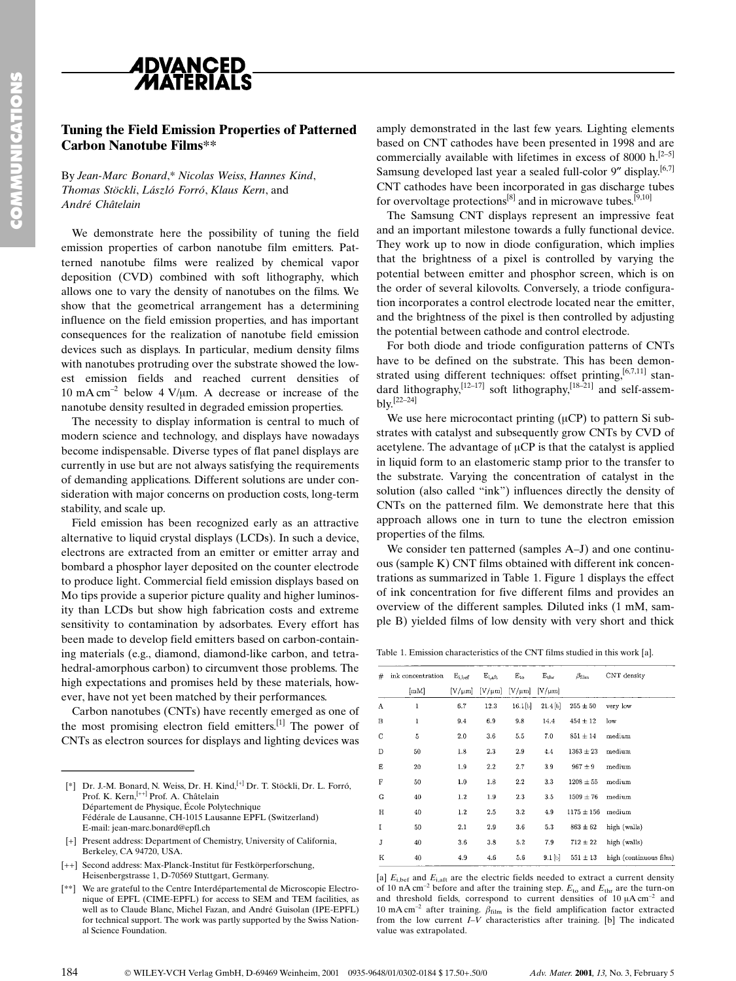

## Tuning the Field Emission Properties of Patterned Carbon Nanotube Films\*\*

By Jean-Marc Bonard,\* Nicolas Weiss, Hannes Kind, Thomas Stöckli, László Forró, Klaus Kern, and André Châtelain

We demonstrate here the possibility of tuning the field emission properties of carbon nanotube film emitters. Patterned nanotube films were realized by chemical vapor deposition (CVD) combined with soft lithography, which allows one to vary the density of nanotubes on the films. We show that the geometrical arrangement has a determining influence on the field emission properties, and has important consequences for the realization of nanotube field emission devices such as displays. In particular, medium density films with nanotubes protruding over the substrate showed the lowest emission fields and reached current densities of 10 mA cm<sup>-2</sup> below 4 V/ $\mu$ m. A decrease or increase of the nanotube density resulted in degraded emission properties.

The necessity to display information is central to much of modern science and technology, and displays have nowadays become indispensable. Diverse types of flat panel displays are currently in use but are not always satisfying the requirements of demanding applications. Different solutions are under consideration with major concerns on production costs, long-term stability, and scale up.

Field emission has been recognized early as an attractive alternative to liquid crystal displays (LCDs). In such a device, electrons are extracted from an emitter or emitter array and bombard a phosphor layer deposited on the counter electrode to produce light. Commercial field emission displays based on Mo tips provide a superior picture quality and higher luminosity than LCDs but show high fabrication costs and extreme sensitivity to contamination by adsorbates. Every effort has been made to develop field emitters based on carbon-containing materials (e.g., diamond, diamond-like carbon, and tetrahedral-amorphous carbon) to circumvent those problems. The high expectations and promises held by these materials, however, have not yet been matched by their performances. to produce light. Commerci<br>Mo tips provide a superior provide a superior provide a superior<br>ity than LCDs but show his<br>ensitivity to contamination<br>been made to develop field<br>ing materials (e.g., diamono<br>hedral-amorphous c

Carbon nanotubes (CNTs) have recently emerged as one of the most promising electron field emitters.<sup>[1]</sup> The power of CNTs as electron sources for displays and lighting devices was

amply demonstrated in the last few years. Lighting elements based on CNT cathodes have been presented in 1998 and are commercially available with lifetimes in excess of 8000 h.<sup>[2-5]</sup> Samsung developed last year a sealed full-color  $9''$  display.<sup>[6,7]</sup> CNT cathodes have been incorporated in gas discharge tubes for overvoltage protections<sup>[8]</sup> and in microwave tubes.<sup>[9,10]</sup>

The Samsung CNT displays represent an impressive feat and an important milestone towards a fully functional device. They work up to now in diode configuration, which implies that the brightness of a pixel is controlled by varying the potential between emitter and phosphor screen, which is on the order of several kilovolts. Conversely, a triode configuration incorporates a control electrode located near the emitter, and the brightness of the pixel is then controlled by adjusting the potential between cathode and control electrode.

For both diode and triode configuration patterns of CNTs have to be defined on the substrate. This has been demonstrated using different techniques: offset printing,  $[6,7,11]$  standard lithography, $^{[12-17]}$  soft lithography, $^{[18-21]}$  and self-assem $blv<sup>[22-24]</sup>$ 

We use here microcontact printing  $(\mu CP)$  to pattern Si substrates with catalyst and subsequently grow CNTs by CVD of acetylene. The advantage of  $\mu CP$  is that the catalyst is applied in liquid form to an elastomeric stamp prior to the transfer to the substrate. Varying the concentration of catalyst in the solution (also called "ink") influences directly the density of CNTs on the patterned film. We demonstrate here that this approach allows one in turn to tune the electron emission properties of the films.

We consider ten patterned (samples A–J) and one continuous (sample K) CNT films obtained with different ink concentrations as summarized in Table 1. Figure 1 displays the effect of ink concentration for five different films and provides an overview of the different samples. Diluted inks (1 mM, sample B) yielded films of low density with very short and thick

Table 1. Emission characteristics of the CNT films studied in this work [a].

| # | ink concentration | $E_{i, \text{bef}}$ | $E_{i, \text{aft}}$ | $E_{to}$    | $E_{thr}$   | $\beta_{\rm film}$ | CNT density            |
|---|-------------------|---------------------|---------------------|-------------|-------------|--------------------|------------------------|
|   | [mM]              | $[V/\mu m]$         | $[V/\mu m]$         | $[V/\mu m]$ | $[V/\mu m]$ |                    |                        |
| A | ı                 | 6.7                 | 12.3                | 16.1[b]     | 21.4 [b]    | $255 \pm 50$       | very low               |
| B | ı                 | 9.4                 | 6.9                 | 9.8         | 14.4        | $454 \pm 12$       | low                    |
| C | 5                 | 2.0                 | 3.6                 | 5.5         | 7.0         | $851 \pm 14$       | medium                 |
| D | 50                | 1.8                 | 2.3                 | 2.9         | 4.4         | $1363 \pm 23$      | medium                 |
| Е | 20                | 1.9                 | $2.2\,$             | 2.7         | 3.9         | $967 \pm 9$        | medium                 |
| F | 50                | 1.0                 | 1.8                 | 2.2         | 3.3         | $1208 \pm 55$      | medium                 |
| G | 40                | $1.2\,$             | 1.9                 | 2.3         | 3.5         | $1509 \pm 76$      | medium                 |
| H | 40                | 1.2                 | 2.5                 | 3.2         | 4.9         | $1175 \pm 156$     | medium                 |
| I | 50                | 2.1                 | 2.9                 | 3.6         | 5.3         | $863 \pm 62$       | high (walls)           |
| J | 40                | 3.6                 | 3.8                 | 5.2         | 7.9         | $712 \pm 22$       | high (walls)           |
| K | 40                | 4.9                 | 4.6                 | 5.6         | $9.1$ [b]   | $551 \pm 13$       | high (continuous film) |

[a]  $E_{i,bef}$  and  $E_{i,aff}$  are the electric fields needed to extract a current density of 10 nA cm<sup>-2</sup> before and after the training step.  $E_{\text{to}}$  and  $E_{\text{thr}}$  are the turn-on and threshold fields, correspond to current densities of  $10 \mu A \text{ cm}^{-2}$  and 10 mA cm<sup>-2</sup> after training.  $\beta_{\text{film}}$  is the field amplification factor extracted from the low current *I*-V characteristics after training. [b] The indicated value was extrapolated.

<sup>[\*]</sup> Dr. J.-M. Bonard, N. Weiss, Dr. H. Kind,[+] Dr. T. Stöckli, Dr. L. Forró, Prof. K. Kern, <sup>[++]</sup> Prof. A. Châtelain Département de Physique, École Polytechnique Fédérale de Lausanne, CH-1015 Lausanne EPFL (Switzerland) E-mail: jean-marc.bonard@epfl.ch

<sup>[+]</sup> Present address: Department of Chemistry, University of California, Berkeley, CA 94720, USA.

<sup>[++]</sup> Second address: Max-Planck-Institut für Festkörperforschung, Heisenbergstrasse 1, D-70569 Stuttgart, Germany.

<sup>[\*\*]</sup> We are grateful to the Centre Interdépartemental de Microscopie Electronique of EPFL (CIME-EPFL) for access to SEM and TEM facilities, as well as to Claude Blanc, Michel Fazan, and André Guisolan (IPE-EPFL) for technical support. The work was partly supported by the Swiss National Science Foundation.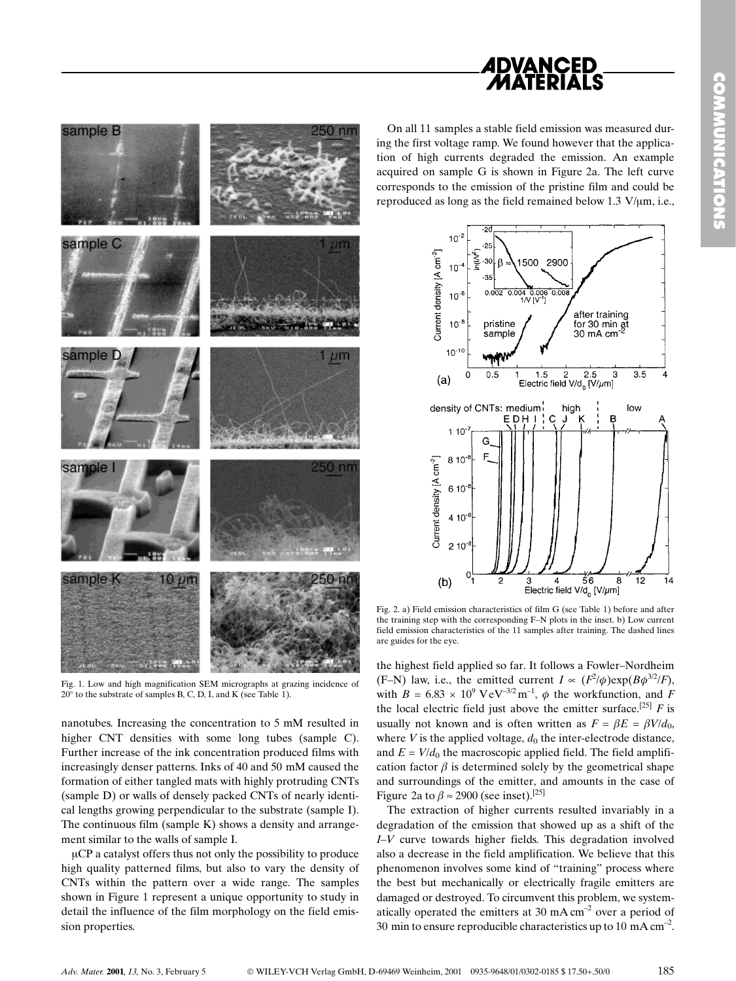







sample B

Fig. 1. Low and high magnification SEM micrographs at grazing incidence of  $20^\circ$  to the substrate of samples B, C, D, I, and K (see Table 1).

nanotubes. Increasing the concentration to 5 mM resulted in higher CNT densities with some long tubes (sample C). Further increase of the ink concentration produced films with increasingly denser patterns. Inks of 40 and 50 mM caused the formation of either tangled mats with highly protruding CNTs (sample D) or walls of densely packed CNTs of nearly identical lengths growing perpendicular to the substrate (sample I). The continuous film (sample K) shows a density and arrangement similar to the walls of sample I.

 $\mu$ CP a catalyst offers thus not only the possibility to produce high quality patterned films, but also to vary the density of CNTs within the pattern over a wide range. The samples shown in Figure 1 represent a unique opportunity to study in detail the influence of the film morphology on the field emission properties.

Fig. 2. a) Field emission characteristics of film G (see Table 1) before and after the training step with the corresponding F-N plots in the inset. b) Low current field emission characteristics of the 11 samples after training. The dashed lines are guides for the eye.

the highest field applied so far. It follows a Fowler-Nordheim (F-N) law, i.e., the emitted current  $I \propto (F^2/\phi) \exp(B\phi^{3/2}/F)$ , with  $B = 6.83 \times 10^9$  VeV<sup>-3/2</sup> m<sup>-1</sup>,  $\phi$  the workfunction, and F the local electric field just above the emitter surface.<sup>[25]</sup> F is usually not known and is often written as  $F = \beta E = \beta V/d_0$ , where  $V$  is the applied voltage,  $d_0$  the inter-electrode distance, and  $E = V/d_0$  the macroscopic applied field. The field amplification factor  $\beta$  is determined solely by the geometrical shape and surroundings of the emitter, and amounts in the case of Figure 2a to  $\beta \approx 2900$  (see inset).<sup>[25]</sup>

The extraction of higher currents resulted invariably in a degradation of the emission that showed up as a shift of the  $I-V$  curve towards higher fields. This degradation involved also a decrease in the field amplification. We believe that this phenomenon involves some kind of "training" process where the best but mechanically or electrically fragile emitters are damaged or destroyed. To circumvent this problem, we systematically operated the emitters at 30 mA  $cm^{-2}$  over a period of 30 min to ensure reproducible characteristics up to 10 mA  $cm<sup>-2</sup>$ .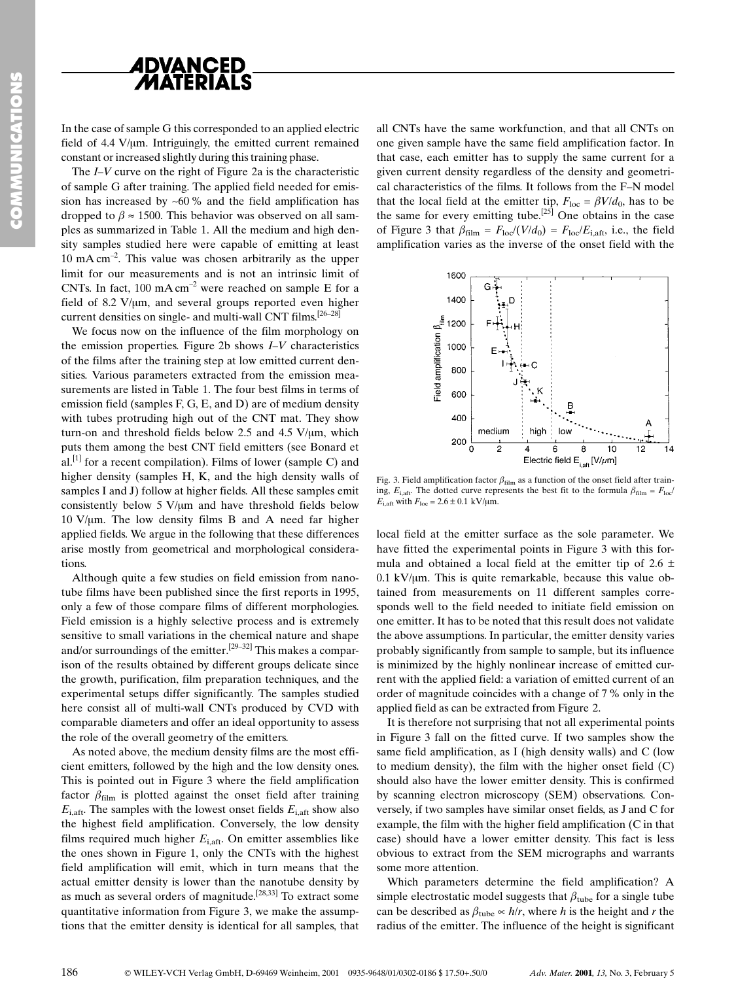



In the case of sample G this corresponded to an applied electric field of 4.4 V/µm. Intriguingly, the emitted current remained constant or increased slightly during this training phase.

The  $I-V$  curve on the right of Figure 2a is the characteristic of sample G after training. The applied field needed for emission has increased by  $~60\%$  and the field amplification has dropped to  $\beta \approx 1500$ . This behavior was observed on all samples as summarized in Table 1. All the medium and high density samples studied here were capable of emitting at least 10 mA cm<sup>-2</sup>. This value was chosen arbitrarily as the upper limit for our measurements and is not an intrinsic limit of CNTs. In fact,  $100 \text{ mA cm}^{-2}$  were reached on sample E for a field of 8.2 V/ $\mu$ m, and several groups reported even higher current densities on single- and multi-wall CNT films.  $[26-28]$ 

We focus now on the influence of the film morphology on the emission properties. Figure 2b shows  $I-V$  characteristics of the films after the training step at low emitted current densities. Various parameters extracted from the emission measurements are listed in Table 1. The four best films in terms of emission field (samples F, G, E, and D) are of medium density with tubes protruding high out of the CNT mat. They show turn-on and threshold fields below 2.5 and 4.5 V/ $\mu$ m, which puts them among the best CNT field emitters (see Bonard et al.<sup>[1]</sup> for a recent compilation). Films of lower (sample C) and higher density (samples H, K, and the high density walls of samples I and J) follow at higher fields. All these samples emit consistently below 5  $V/\mu m$  and have threshold fields below  $10 \text{ V/µm}$ . The low density films B and A need far higher applied fields. We argue in the following that these differences arise mostly from geometrical and morphological considerations.

Although quite a few studies on field emission from nanotube films have been published since the first reports in 1995, only a few of those compare films of different morphologies. Field emission is a highly selective process and is extremely sensitive to small variations in the chemical nature and shape and/or surroundings of the emitter.<sup>[29-32]</sup> This makes a comparison of the results obtained by different groups delicate since the growth, purification, film preparation techniques, and the experimental setups differ significantly. The samples studied here consist all of multi-wall CNTs produced by CVD with comparable diameters and offer an ideal opportunity to assess the role of the overall geometry of the emitters.

As noted above, the medium density films are the most efficient emitters, followed by the high and the low density ones. This is pointed out in Figure 3 where the field amplification factor  $\beta_{\text{film}}$  is plotted against the onset field after training  $E_{\text{i.}at}$ . The samples with the lowest onset fields  $E_{\text{i.}at}$  show also the highest field amplification. Conversely, the low density films required much higher  $E_{\text{i.aff}}$ . On emitter assemblies like the ones shown in Figure 1, only the CNTs with the highest field amplification will emit, which in turn means that the actual emitter density is lower than the nanotube density by as much as several orders of magnitude.[28,33] To extract some quantitative information from Figure 3, we make the assumptions that the emitter density is identical for all samples, that

all CNTs have the same workfunction, and that all CNTs on one given sample have the same field amplification factor. In that case, each emitter has to supply the same current for a given current density regardless of the density and geometrical characteristics of the films. It follows from the F-N model that the local field at the emitter tip,  $F_{\text{loc}} = \beta V/d_0$ , has to be the same for every emitting tube.<sup>[25]</sup> One obtains in the case of Figure 3 that  $\beta_{\text{film}} = F_{\text{loc}}/(V/d_0) = F_{\text{loc}}/E_{\text{i},\text{aff}}$ , i.e., the field amplification varies as the inverse of the onset field with the



Fig. 3. Field amplification factor  $\beta_{\text{film}}$  as a function of the onset field after training,  $E_{i, \text{aff}}$ . The dotted curve represents the best fit to the formula  $\beta_{\text{film}} = F_{\text{loc}}/$  $E_{i, \text{aft}}$  with  $F_{\text{loc}} = 2.6 \pm 0.1 \text{ kV/\mu m}$ .

local field at the emitter surface as the sole parameter. We have fitted the experimental points in Figure 3 with this formula and obtained a local field at the emitter tip of  $2.6 \pm$  $0.1 \text{ kV}$ / $\mu$ m. This is quite remarkable, because this value obtained from measurements on 11 different samples corresponds well to the field needed to initiate field emission on one emitter. It has to be noted that this result does not validate the above assumptions. In particular, the emitter density varies probably significantly from sample to sample, but its influence is minimized by the highly nonlinear increase of emitted current with the applied field: a variation of emitted current of an order of magnitude coincides with a change of 7% only in the applied field as can be extracted from Figure 2.

It is therefore not surprising that not all experimental points in Figure 3 fall on the fitted curve. If two samples show the same field amplification, as I (high density walls) and C (low to medium density), the film with the higher onset field (C) should also have the lower emitter density. This is confirmed by scanning electron microscopy (SEM) observations. Conversely, if two samples have similar onset fields, as J and C for example, the film with the higher field amplification (C in that case) should have a lower emitter density. This fact is less obvious to extract from the SEM micrographs and warrants some more attention.

Which parameters determine the field amplification? A simple electrostatic model suggests that  $\beta_{\text{tube}}$  for a single tube can be described as  $\beta_{\text{tube}} \propto h/r$ , where h is the height and r the radius of the emitter. The influence of the height is significant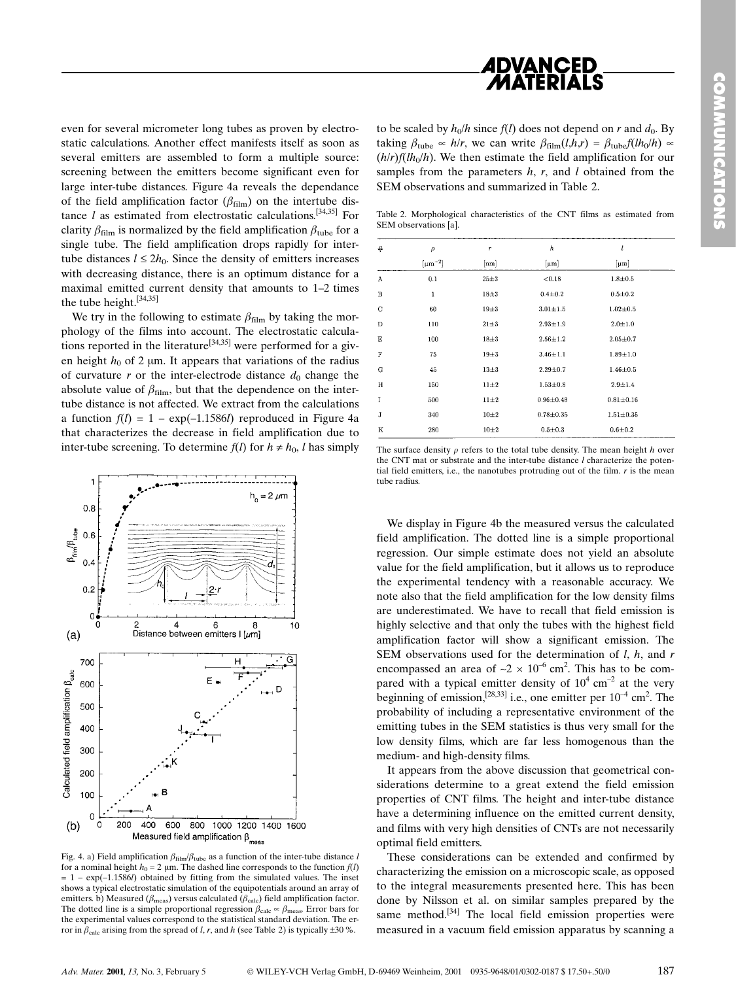

even for several micrometer long tubes as proven by electrostatic calculations. Another effect manifests itself as soon as several emitters are assembled to form a multiple source: screening between the emitters become significant even for large inter-tube distances. Figure 4a reveals the dependance of the field amplification factor  $(\beta_{film})$  on the intertube distance  $l$  as estimated from electrostatic calculations.<sup>[34,35]</sup> For clarity  $\beta_{\text{film}}$  is normalized by the field amplification  $\beta_{\text{tube}}$  for a single tube. The field amplification drops rapidly for intertube distances  $l \leq 2h_0$ . Since the density of emitters increases with decreasing distance, there is an optimum distance for a maximal emitted current density that amounts to  $1-2$  times the tube height.[34,35]

We try in the following to estimate  $\beta_{\text{film}}$  by taking the morphology of the films into account. The electrostatic calculations reported in the literature<sup>[34,35]</sup> were performed for a given height  $h_0$  of 2 µm. It appears that variations of the radius of curvature r or the inter-electrode distance  $d_0$  change the absolute value of  $\beta_{film}$ , but that the dependence on the intertube distance is not affected. We extract from the calculations a function  $f(l) = 1 - \exp(-1.1586l)$  reproduced in Figure 4a that characterizes the decrease in field amplification due to inter-tube screening. To determine  $f(l)$  for  $h \neq h_0$ , l has simply



Fig. 4. a) Field amplification  $\beta_{film}/\beta_{tube}$  as a function of the inter-tube distance l for a nominal height  $h_0 = 2 \mu m$ . The dashed line corresponds to the function  $f(l)$  $= 1 - \exp(-1.1586l)$  obtained by fitting from the simulated values. The inset shows a typical electrostatic simulation of the equipotentials around an array of emitters. b) Measured ( $\beta_{\text{meas}}$ ) versus calculated ( $\beta_{\text{calc}}$ ) field amplification factor. The dotted line is a simple proportional regression  $\beta_{\text{calc}} \approx \beta_{\text{meas}}$ . Error bars for the experimental values correspond to the statistical standard deviation. The error in  $\beta_{\text{calc}}$  arising from the spread of l, r, and h (see Table 2) is typically  $\pm 30$  %.

to be scaled by  $h_0/h$  since  $f(l)$  does not depend on r and  $d_0$ . By taking  $\beta_{\text{tube}} \propto h/r$ , we can write  $\beta_{\text{film}}(l,h,r) = \beta_{\text{tube}}f(lh_0/h) \propto$  $(h/r)f(lh_0/h)$ . We then estimate the field amplification for our samples from the parameters  $h$ ,  $r$ , and  $l$  obtained from the SEM observations and summarized in Table 2.

Table 2. Morphological characteristics of the CNT films as estimated from SEM observations [a].

| #           | $\rho$         | $\boldsymbol{r}$ | h              | l               |
|-------------|----------------|------------------|----------------|-----------------|
|             | $[\mu m^{-2}]$ | [nm]             | $[\mu m]$      | ${\rm [µm]}$    |
| A           | 0.1            | $25 + 3$         | < 0.18         | $1.8 + 0.5$     |
| B           | $\mathbf 1$    | $18 + 3$         | $0.4 + 0.2$    | $0.5 + 0.2$     |
| C           | 60             | $19\pm3$         | $3.01 + 1.5$   | $1.02 + 0.5$    |
| D           | 110            | $21 \pm 3$       | $2.93 + 1.9$   | $2.0 + 1.0$     |
| E           | 100            | $18 + 3$         | $2.56 + 1.2$   | $2.05 + 0.7$    |
| F           | 75             | $19\pm3$         | $3.46 \pm 1.1$ | $1.89 + 1.0$    |
| G           | 45             | $13\pm3$         | $2.29 + 0.7$   | $1.46 + 0.5$    |
| $\mathbf H$ | 150            | $11\pm2$         | $1.53 + 0.8$   | $2.9 + 1.4$     |
| I           | 500            | $11\pm2$         | $0.96 + 0.48$  | $0.81 \pm 0.16$ |
| J           | 340            | $10\pm2$         | $0.78 + 0.35$  | $1.51 + 0.35$   |
| К           | 280            | $10\pm2$         | $0.5 + 0.3$    | $0.6 + 0.2$     |

The surface density  $\rho$  refers to the total tube density. The mean height h over the CNT mat or substrate and the inter-tube distance  $l$  characterize the potential field emitters, i.e., the nanotubes protruding out of the film.  $r$  is the mean tube radius.

We display in Figure 4b the measured versus the calculated field amplification. The dotted line is a simple proportional regression. Our simple estimate does not yield an absolute value for the field amplification, but it allows us to reproduce the experimental tendency with a reasonable accuracy. We note also that the field amplification for the low density films are underestimated. We have to recall that field emission is highly selective and that only the tubes with the highest field amplification factor will show a significant emission. The SEM observations used for the determination of  $l$ ,  $h$ , and  $r$ encompassed an area of  $\sim 2 \times 10^{-6}$  cm<sup>2</sup>. This has to be compared with a typical emitter density of  $10^4$  cm<sup>-2</sup> at the very beginning of emission,<sup>[28,33]</sup> i.e., one emitter per  $10^{-4}$  cm<sup>2</sup>. The probability of including a representative environment of the emitting tubes in the SEM statistics is thus very small for the low density films, which are far less homogenous than the medium- and high-density films.

It appears from the above discussion that geometrical considerations determine to a great extend the field emission properties of CNT films. The height and inter-tube distance have a determining influence on the emitted current density, and films with very high densities of CNTs are not necessarily optimal field emitters.

These considerations can be extended and confirmed by characterizing the emission on a microscopic scale, as opposed to the integral measurements presented here. This has been done by Nilsson et al. on similar samples prepared by the same method. $[34]$  The local field emission properties were measured in a vacuum field emission apparatus by scanning a